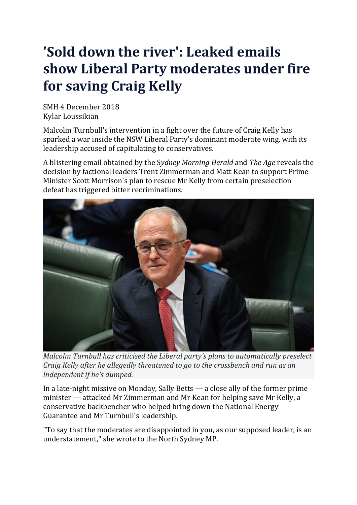## **'Sold down the river': Leaked emails show Liberal Party moderates under fire for saving Craig Kelly**

SMH 4 December 2018 Kylar Loussikian

Malcolm Turnbull's intervention in a fight over the future of Craig Kelly has sparked a war inside the NSW Liberal Party's dominant moderate wing, with its leadership accused of capitulating to conservatives.

A blistering email obtained by the S*ydney Morning Herald* and *The Age* reveals the decision by factional leaders Trent Zimmerman and Matt Kean to support Prime Minister Scott Morrison's plan to rescue Mr Kelly from certain preselection defeat has triggered bitter recriminations.



*Malcolm Turnbull has criticised the Liberal party's plans to automatically preselect Craig Kelly after he allegedly threatened to go to the crossbench and run as an independent if he's dumped.*

In a late-night missive on Monday, Sally Betts — a close ally of the former prime minister — attacked Mr Zimmerman and Mr Kean for helping save Mr Kelly, a conservative backbencher who helped bring down the National Energy Guarantee and Mr Turnbull's leadership.

"To say that the moderates are disappointed in you, as our supposed leader, is an understatement," she wrote to the North Sydney MP.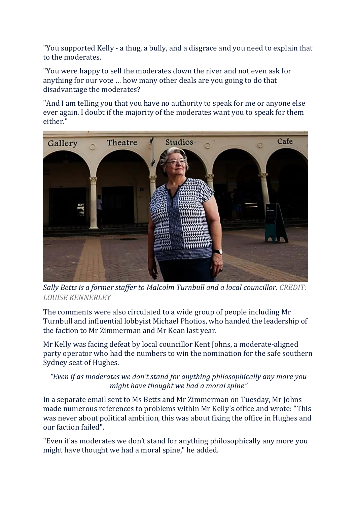"You supported Kelly - a thug, a bully, and a disgrace and you need to explain that to the moderates.

"You were happy to sell the moderates down the river and not even ask for anything for our vote … how many other deals are you going to do that disadvantage the moderates?

"And I am telling you that you have no authority to speak for me or anyone else ever again. I doubt if the majority of the moderates want you to speak for them either."



*Sally Betts is a former staffer to Malcolm Turnbull and a local councillor*. *CREDIT: LOUISE KENNERLEY*

The comments were also circulated to a wide group of people including Mr Turnbull and influential lobbyist Michael Photios, who handed the leadership of the faction to Mr Zimmerman and Mr Kean last year.

Mr Kelly was facing defeat by local councillor Kent Johns, a moderate-aligned party operator who had the numbers to win the nomination for the safe southern Sydney seat of Hughes.

*"Even if as moderates we don't stand for anything philosophically any more you might have thought we had a moral spine"*

In a separate email sent to Ms Betts and Mr Zimmerman on Tuesday, Mr Johns made numerous references to problems within Mr Kelly's office and wrote: "This was never about political ambition, this was about fixing the office in Hughes and our faction failed".

"Even if as moderates we don't stand for anything philosophically any more you might have thought we had a moral spine," he added.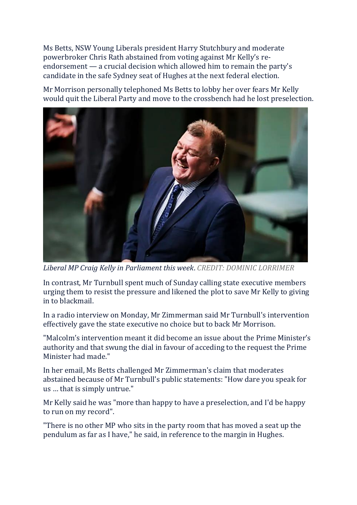Ms Betts, NSW Young Liberals president Harry Stutchbury and moderate powerbroker Chris Rath abstained from voting against Mr Kelly's reendorsement — a crucial decision which allowed him to remain the party's candidate in the safe Sydney seat of Hughes at the next federal election.

Mr Morrison personally telephoned Ms Betts to lobby her over fears Mr Kelly would quit the Liberal Party and move to the crossbench had he lost preselection.



*Liberal MP Craig Kelly in Parliament this week*. *CREDIT: DOMINIC LORRIMER*

In contrast, Mr Turnbull spent much of Sunday calling state executive members urging them to resist the pressure and likened the plot to save Mr Kelly to giving in to blackmail.

In a radio interview on Monday, Mr Zimmerman said Mr Turnbull's intervention effectively gave the state executive no choice but to back Mr Morrison.

"Malcolm's intervention meant it did become an issue about the Prime Minister's authority and that swung the dial in favour of acceding to the request the Prime Minister had made."

In her email, Ms Betts challenged Mr Zimmerman's claim that moderates abstained because of Mr Turnbull's public statements: "How dare you speak for us … that is simply untrue."

Mr Kelly said he was "more than happy to have a preselection, and I'd be happy to run on my record".

"There is no other MP who sits in the party room that has moved a seat up the pendulum as far as I have," he said, in reference to the margin in Hughes.